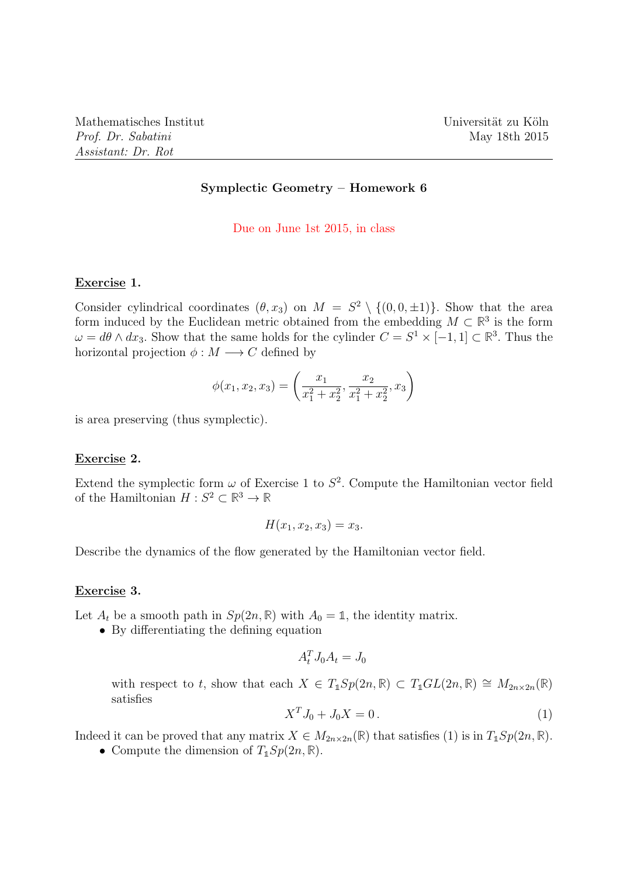## Symplectic Geometry – Homework 6

Due on June 1st 2015, in class

### Exercise 1.

Consider cylindrical coordinates  $(\theta, x_3)$  on  $M = S^2 \setminus \{(0, 0, \pm 1)\}\.$  Show that the area form induced by the Euclidean metric obtained from the embedding  $M \subset \mathbb{R}^3$  is the form  $\omega = d\theta \wedge dx_3$ . Show that the same holds for the cylinder  $C = S^1 \times [-1,1] \subset \mathbb{R}^3$ . Thus the horizontal projection  $\phi : M \longrightarrow C$  defined by

$$
\phi(x_1, x_2, x_3) = \left(\frac{x_1}{x_1^2 + x_2^2}, \frac{x_2}{x_1^2 + x_2^2}, x_3\right)
$$

is area preserving (thus symplectic).

### Exercise 2.

Extend the symplectic form  $\omega$  of Exercise 1 to  $S^2$ . Compute the Hamiltonian vector field of the Hamiltonian  $H: S^2 \subset \mathbb{R}^3 \to \mathbb{R}$ 

$$
H(x_1, x_2, x_3) = x_3.
$$

Describe the dynamics of the flow generated by the Hamiltonian vector field.

## Exercise 3.

Let  $A_t$  be a smooth path in  $Sp(2n, \mathbb{R})$  with  $A_0 = \mathbb{1}$ , the identity matrix.

• By differentiating the defining equation

$$
A_t^T J_0 A_t = J_0
$$

with respect to t, show that each  $X \in T_1Sp(2n, \mathbb{R}) \subset T_1GL(2n, \mathbb{R}) \cong M_{2n \times 2n}(\mathbb{R})$ satisfies

$$
X^T J_0 + J_0 X = 0.
$$
 (1)

Indeed it can be proved that any matrix  $X \in M_{2n \times 2n}(\mathbb{R})$  that satisfies (1) is in  $T_1Sp(2n, \mathbb{R})$ .

• Compute the dimension of  $T_1Sp(2n,\mathbb{R})$ .